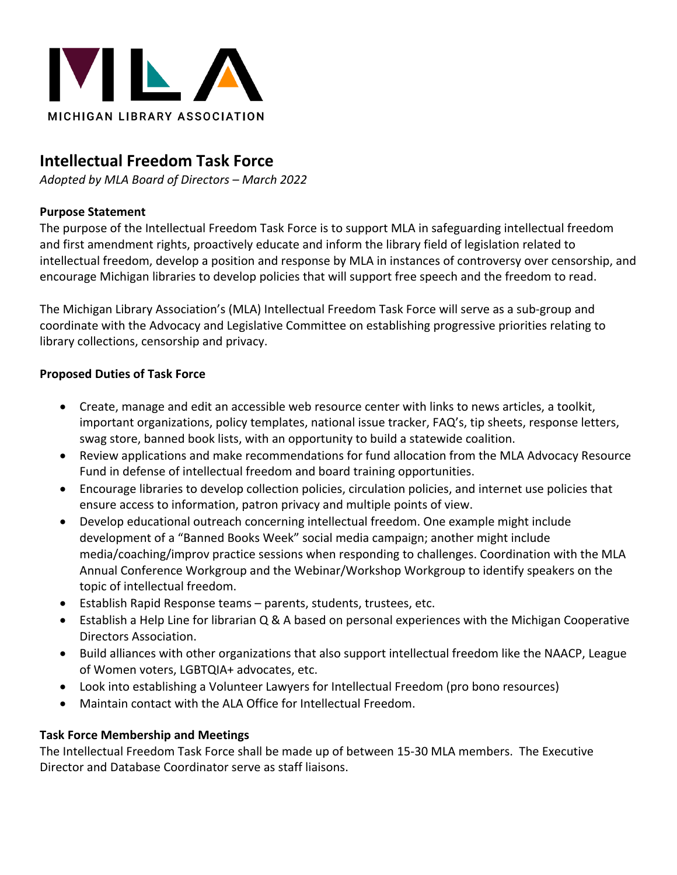

# **Intellectual Freedom Task Force**

*Adopted by MLA Board of Directors – March 2022*

# **Purpose Statement**

The purpose of the Intellectual Freedom Task Force is to support MLA in safeguarding intellectual freedom and first amendment rights, proactively educate and inform the library field of legislation related to intellectual freedom, develop a position and response by MLA in instances of controversy over censorship, and encourage Michigan libraries to develop policies that will support free speech and the freedom to read.

The Michigan Library Association's (MLA) Intellectual Freedom Task Force will serve as a sub-group and coordinate with the Advocacy and Legislative Committee on establishing progressive priorities relating to library collections, censorship and privacy.

# **Proposed Duties of Task Force**

- Create, manage and edit an accessible web resource center with links to news articles, a toolkit, important organizations, policy templates, national issue tracker, FAQ's, tip sheets, response letters, swag store, banned book lists, with an opportunity to build a statewide coalition.
- Review applications and make recommendations for fund allocation from the MLA Advocacy Resource Fund in defense of intellectual freedom and board training opportunities.
- Encourage libraries to develop collection policies, circulation policies, and internet use policies that ensure access to information, patron privacy and multiple points of view.
- Develop educational outreach concerning intellectual freedom. One example might include development of a "Banned Books Week" social media campaign; another might include media/coaching/improv practice sessions when responding to challenges. Coordination with the MLA Annual Conference Workgroup and the Webinar/Workshop Workgroup to identify speakers on the topic of intellectual freedom.
- Establish Rapid Response teams parents, students, trustees, etc.
- Establish a Help Line for librarian Q & A based on personal experiences with the Michigan Cooperative Directors Association.
- Build alliances with other organizations that also support intellectual freedom like the NAACP, League of Women voters, LGBTQIA+ advocates, etc.
- Look into establishing a Volunteer Lawyers for Intellectual Freedom (pro bono resources)
- Maintain contact with the ALA Office for Intellectual Freedom.

# **Task Force Membership and Meetings**

The Intellectual Freedom Task Force shall be made up of between 15-30 MLA members. The Executive Director and Database Coordinator serve as staff liaisons.